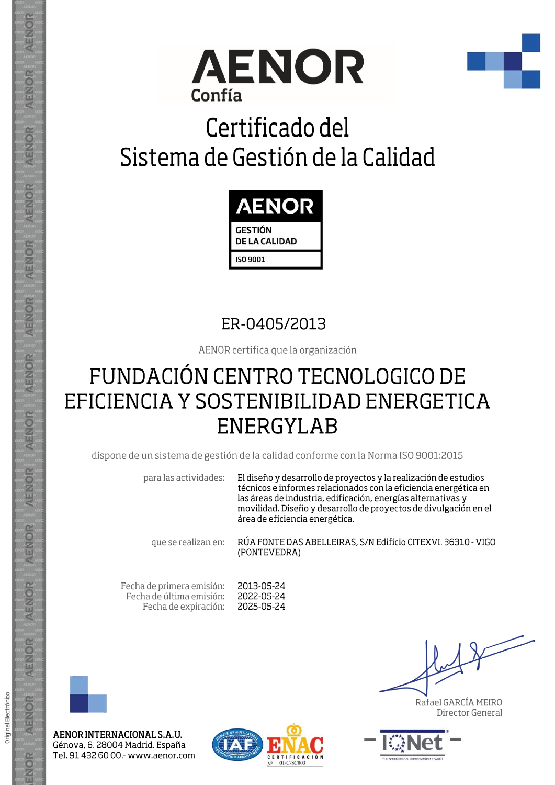



## Certificado del Sistema de Gestión de la Calidad



### ER-0405/2013

AENOR certifica que la organización

## FUNDACIÓN CENTRO TECNOLOGICO DE EFICIENCIA Y SOSTENIBILIDAD ENERGETICA **ENERGYLAB**

dispone de un sistema de gestión de la calidad conforme con la Norma ISO 9001:2015

para las actividades:

El diseño y desarrollo de proyectos y la realización de estudios técnicos e informes relacionados con la eficiencia energética en las áreas de industria, edificación, energías alternativas y movilidad. Diseño y desarrollo de proyectos de divulgación en el área de eficiencia energética.

que se realizan en:

RÚA FONTE DAS ABELLEIRAS, S/N Edificio CITEXVI. 36310 - VIGO (PONTEVEDRA)

Fecha de primera emisión: Fecha de última emisión: Fecha de expiración: 2013-05-24 2022-05-24 2025-05-24



Original Electrónico

AENOR

ENOR

AENOR INTERNACIONAL S.A.U. Génova, 6. 28004 Madrid. España Tel. 91 432 60 00 .- www.aenor.com



Rafael GARCÍA MEIRO Director General

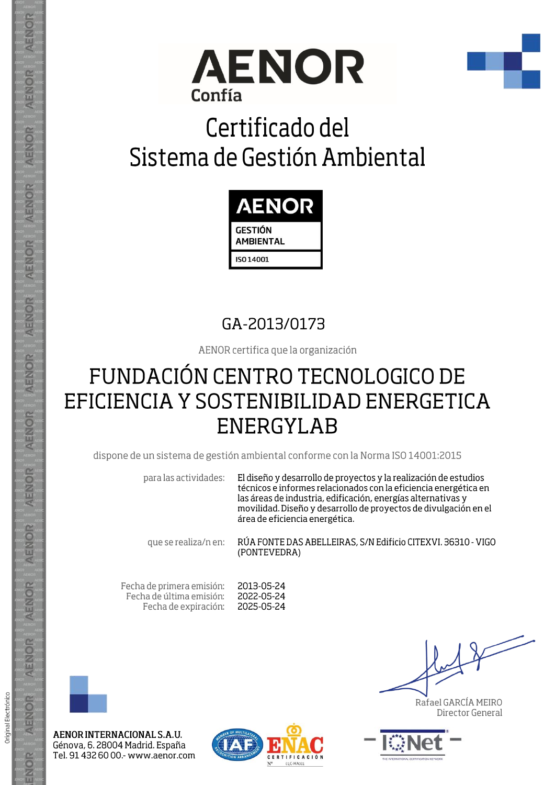



## Certificado del Sistema de Gestión Ambiental



### GA-2013/0173

AENOR certifica que la organización

## FUNDACIÓN CENTRO TECNOLOGICO DE EFICIENCIA Y SOSTENIBILIDAD ENERGETICA **ENERGYLAB**

dispone de un sistema de gestión ambiental conforme con la Norma ISO 14001:2015

para las actividades:

El diseño y desarrollo de proyectos y la realización de estudios técnicos e informes relacionados con la eficiencia energética en las áreas de industria, edificación, energías alternativas y movilidad. Diseño y desarrollo de proyectos de divulgación en el área de eficiencia energética.

que se realiza/n en:

RÚA FONTE DAS ABELLEIRAS, S/N Edificio CITEXVI. 36310 - VIGO (PONTEVEDRA)

Fecha de primera emisión: Fecha de última emisión: Fecha de expiración: 2013-05-24 2022-05-24 2025-05-24



Original Electrónico

AENOR

ENOR

AENOR INTERNACIONAL S.A.U. Génova, 6. 28004 Madrid. España Tel. 91 432 60 00 .- www.aenor.com



Rafael GARCÍA MEIRO Director General

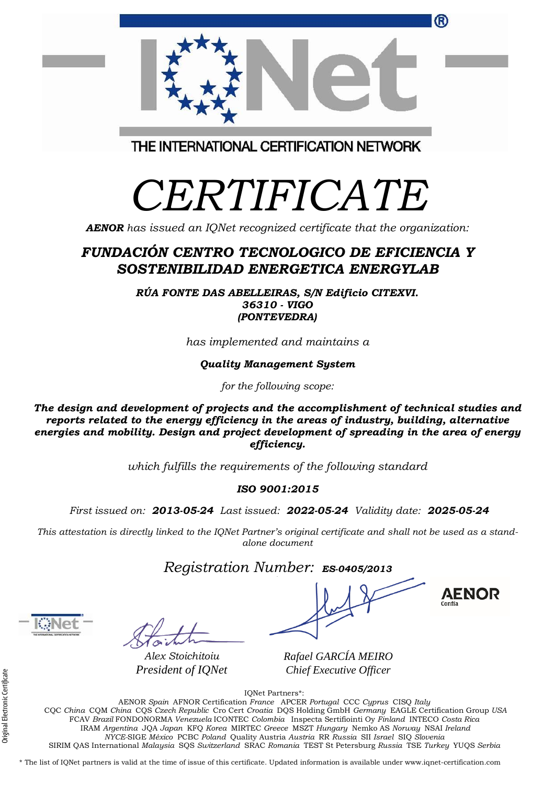| FCAV Brazil FONDONORMA Venezuela ICONTEC Colombia Inspecta Sertifiointi Oy Finland INTECO Costa Rica                                               |  |
|----------------------------------------------------------------------------------------------------------------------------------------------------|--|
| IRAM Argentina JOA Japan KFO Korea MIRTEC Greece MSZT Hungary Nemko AS Norway NSAI Ireland                                                         |  |
| NYCE-SIGE México PCBC Poland Quality Austria Austria RR Russia SII Israel SIQ Slovenia                                                             |  |
| SIRIM QAS International Malaysia SQS Switzerland SRAC Romania TEST St Petersburg Russia TSE Turkey YUQS Serbia                                     |  |
| * The list of IONet partners is valid at the time of issue of this certificate. Updated information is available under www.ignet-certification.com |  |
|                                                                                                                                                    |  |
|                                                                                                                                                    |  |

# THE INTERNATIONAL CERTIFICATION NETWORK

# *CERTIFICATE*

*AENOR has issued an IQNet recognized certificate that the organization:*

### *FUNDACIÓN CENTRO TECNOLOGICO DE EFICIENCIA Y SOSTENIBILIDAD ENERGETICA ENERGYLAB*

*RÚA FONTE DAS ABELLEIRAS, S/N Edificio CITEXVI. 36310 - VIGO (PONTEVEDRA)*

*has implemented and maintains a*

*Quality Management System*

*for the following scope:* 

*The design and development of projects and the accomplishment of technical studies and reports related to the energy efficiency in the areas of industry, building, alternative energies and mobility. Design and project development of spreading in the area of energy efficiency.*

*which fulfills the requirements of the following standard*

*ISO 9001:2015*

*First issued on: 2013-05-24 Last issued: 2022-05-24 Validity date: 2025-05-24*

This attestation is directly linked to the IQNet Partner's original certificate and shall not be used as a stand*alone document*

*Registration Number: ES-0405/2013*

*Alex Stoichitoiu President of IQNet*

*Rafael GARCÍA MEIRO Chief Executive Officer*

IQNet Partners\*: AENOR *Spain* AFNOR Certification *France* APCER *Portugal* CCC *Cyprus* CISQ *Italy* CQC *China* CQM *China* CQS *Czech Republic* Cro Cert *Croatia* DQS Holding GmbH *Germany* EAGLE Certification Group *USA*

®